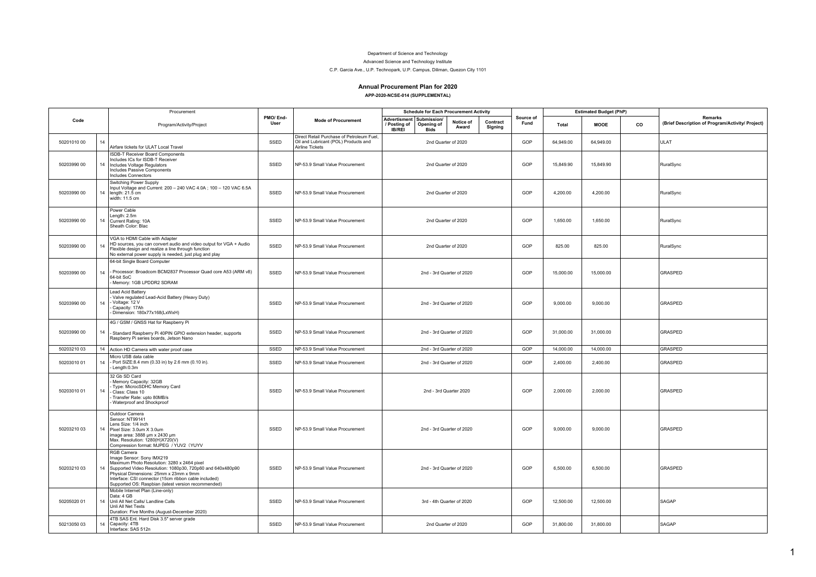## Department of Science and Technology

Advanced Science and Technology Institute

## C.P. Garcia Ave., U.P. Technopark, U.P. Campus, Diliman, Quezon City 1101

## **Annual Procurement Plan for 2020**

**APP-2020-NCSE-014 (SUPPLEMENTAL)**

|             |    | Procurement                                                                                                                                                                                                                                                                                                         |                  |                                                                                                      | <b>Schedule for Each Procurement Activity</b>                                            |                           |                     |                   | <b>Estimated Budget (PhP)</b> |             |    |                                                             |
|-------------|----|---------------------------------------------------------------------------------------------------------------------------------------------------------------------------------------------------------------------------------------------------------------------------------------------------------------------|------------------|------------------------------------------------------------------------------------------------------|------------------------------------------------------------------------------------------|---------------------------|---------------------|-------------------|-------------------------------|-------------|----|-------------------------------------------------------------|
| Code        |    | Program/Activity/Project                                                                                                                                                                                                                                                                                            | PMO/End-<br>User | <b>Mode of Procurement</b>                                                                           | Advertisment   Submission/<br>/ Posting of<br>Opening of<br><b>IB/REI</b><br><b>Bids</b> | Notice of<br>Award        | Contract<br>Signing | Source of<br>Fund | <b>Total</b>                  | <b>MOOE</b> | co | Remarks<br>(Brief Description of Program/Activity/ Project) |
| 50201010 00 | 14 | Airfare tickets for ULAT Local Travel                                                                                                                                                                                                                                                                               | SSED             | Direct Retail Purchase of Petroleum Fuel,<br>Oil and Lubricant (POL) Products and<br>Airline Tickets |                                                                                          | 2nd Quarter of 2020       |                     | GOP               | 64,949.00                     | 64,949.00   |    | ULAT                                                        |
| 50203990 00 | 14 | ISDB-T Receiver Board Components<br>Includes ICs for ISDB-T Receiver<br>Includes Voltage Regulators<br>Includes Passive Components<br><b>Includes Connectors</b>                                                                                                                                                    | SSED             | NP-53.9 Small Value Procurement                                                                      |                                                                                          | 2nd Quarter of 2020       |                     | GOP               | 15,849.90                     | 15,849.90   |    | RuralSync                                                   |
| 50203990 00 | 14 | Switching Power Supply<br>Input Voltage and Current: 200 - 240 VAC 4.0A; 100 - 120 VAC 6.5A<br>length: 21.5 cm<br>width: 11.5 cm                                                                                                                                                                                    | SSED             | NP-53.9 Small Value Procurement                                                                      |                                                                                          | 2nd Quarter of 2020       |                     | GOP               | 4.200.00                      | 4.200.00    |    | RuralSync                                                   |
| 50203990 00 | 14 | Power Cable<br>Length: 2.5m<br>Current Rating: 10A<br>Sheath Color: Blac                                                                                                                                                                                                                                            | SSED             | NP-53.9 Small Value Procurement                                                                      |                                                                                          | 2nd Quarter of 2020       |                     | GOP               | 1,650.00                      | 1,650.00    |    | RuralSync                                                   |
| 50203990 00 | 14 | VGA to HDMI Cable with Adapter<br>HD sources, you can convert audio and video output for VGA + Audio<br>Flexible design and realize a line through function<br>No external power supply is needed, just plug and play                                                                                               | SSED             | NP-53.9 Small Value Procurement                                                                      |                                                                                          | 2nd Quarter of 2020       |                     | GOP               | 825.00                        | 825.00      |    | RuralSync                                                   |
| 50203990 00 | 14 | 64-bit Single Board Computer<br>Processor: Broadcom BCM2837 Processor Quad core A53 (ARM v8)<br>64-bit SoC<br>Memory: 1GB LPDDR2 SDRAM                                                                                                                                                                              | SSED             | NP-53.9 Small Value Procurement                                                                      |                                                                                          | 2nd - 3rd Quarter of 2020 |                     | GOP               | 15,000.00                     | 15,000.00   |    | GRASPED                                                     |
| 50203990 00 | 14 | Lead Acid Battery<br>Valve regulated Lead-Acid Battery (Heavy Duty)<br>Voltage: 12 V<br>Capacity: 17Ah<br>Dimension: 180x77x168(LxWxH)                                                                                                                                                                              | SSED             | NP-53.9 Small Value Procurement                                                                      |                                                                                          | 2nd - 3rd Quarter of 2020 |                     | GOP               | 9,000.00                      | 9,000.00    |    | GRASPED                                                     |
| 50203990 00 | 14 | 4G / GSM / GNSS Hat for Raspberry Pi<br>Standard Raspberry Pi 40PIN GPIO extension header, supports<br>Raspberry Pi series boards, Jetson Nano                                                                                                                                                                      | SSED             | NP-53.9 Small Value Procurement                                                                      |                                                                                          | 2nd - 3rd Quarter of 2020 |                     | GOP               | 31,000.00                     | 31,000.00   |    | GRASPED                                                     |
| 5020321003  |    | 14 Action HD Camera with water proof case                                                                                                                                                                                                                                                                           | SSED             | NP-53.9 Small Value Procurement                                                                      |                                                                                          | 2nd - 3rd Quarter of 2020 |                     | GOP               | 14,000.00                     | 14.000.00   |    | <b>GRASPED</b>                                              |
| 50203010 01 | 14 | Micro USB data cable<br>Port SIZE:8.4 mm (0.33 in) by 2.6 mm (0.10 in).<br>Length:0.3m                                                                                                                                                                                                                              | SSED             | NP-53.9 Small Value Procurement                                                                      |                                                                                          | 2nd - 3rd Quarter of 2020 |                     | GOP               | 2,400.00                      | 2,400.00    |    | GRASPED                                                     |
| 50203010 01 | 14 | 32 Gb SD Card<br>Memory Capacity: 32GB<br>Type: MicrocSDHC Memory Card<br>Class: Class 10<br>Transfer Rate: upto 80MB/s<br>Waterproof and Shockproof                                                                                                                                                                | SSED             | NP-53.9 Small Value Procurement                                                                      |                                                                                          | 2nd - 3rd Quarter 2020    |                     | GOP               | 2,000.00                      | 2,000.00    |    | GRASPED                                                     |
| 50203210 03 | 14 | Outdoor Camera<br>Sensor: NT99141<br>ens Size: 1/4 inch<br>Pixel Size: 3.0um X 3.0um<br>image area: 3888 µm x 2430 µm<br>Max. Resolution: 1280(H)X720(V)<br>Compression format: MJPEG / YUV2 (YUYV                                                                                                                  | SSED             | NP-53.9 Small Value Procurement                                                                      |                                                                                          | 2nd - 3rd Quarter of 2020 |                     | GOP               | 9,000.00                      | 9,000.00    |    | GRASPED                                                     |
| 5020321003  |    | RGB Camera<br>Image Sensor: Sony IMX219<br>Maximum Photo Resolution: 3280 x 2464 pixel<br>14   Supported Video Resolution: 1080p30, 720p60 and 640x480p90<br>Physical Dimensions: 25mm x 23mm x 9mm<br>Interface: CSI connector (15cm ribbon cable included)<br>Supported OS: Raspbian (latest version recommended) | SSED             | NP-53.9 Small Value Procurement                                                                      |                                                                                          | 2nd - 3rd Quarter of 2020 |                     | GOP               | 6,500.00                      | 6,500.00    |    | GRASPED                                                     |
| 50205020 01 |    | Mobile Internet Plan (Line-only)<br>Data: 4 GB<br>14 Unli All Net Calls/ Landline Calls<br>Unli All Net Texts<br>Duration: Five Months (August-December 2020)                                                                                                                                                       | SSED             | NP-53.9 Small Value Procurement                                                                      |                                                                                          | 3rd - 4th Quarter of 2020 |                     | GOP               | 12,500.00                     | 12,500.00   |    | SAGAP                                                       |
| 50213050 03 | 14 | 4TB SAS Ent. Hard Disk 3.5" server grade<br>Capacity: 4TB<br>Interface: SAS 512n                                                                                                                                                                                                                                    | SSED             | NP-53.9 Small Value Procurement                                                                      |                                                                                          | 2nd Quarter of 2020       |                     | GOP               | 31,800.00                     | 31,800.00   |    | SAGAP                                                       |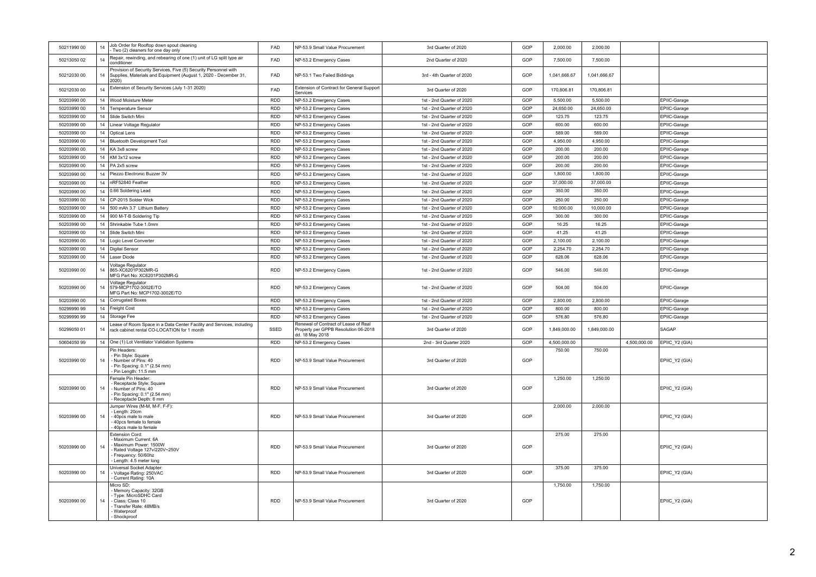| 50211990 00 | 14 | Job Order for Rooftop down spout cleaning<br>Two (2) cleaners for one day only                                                                        | FAD        | NP-53.9 Small Value Procurement                                                                 | 3rd Quarter of 2020       | GOP | 2,000.00     | 2,000.00     |              |                |
|-------------|----|-------------------------------------------------------------------------------------------------------------------------------------------------------|------------|-------------------------------------------------------------------------------------------------|---------------------------|-----|--------------|--------------|--------------|----------------|
| 50213050 02 | 14 | Repair, rewinding, and rebearing of one (1) unit of LG split type air<br>conditioner                                                                  | FAD        | NP-53.2 Emergency Cases                                                                         | 2nd Quarter of 2020       | GOP | 7,500.00     | 7,500.00     |              |                |
| 50212030 00 | 14 | Provision of Security Services, Five (5) Security Personnel with<br>Supplies, Materials and Equipment (August 1, 2020 - December 31,<br>2020)         | FAD        | NP-53.1 Two Failed Biddings                                                                     | 3rd - 4th Quarter of 2020 | GOP | 1,041,666.67 | 1,041,666.67 |              |                |
| 50212030 00 | 14 | Extension of Security Services (July 1-31 2020)                                                                                                       | FAD        | Extension of Contract for General Support<br>Services                                           | 3rd Quarter of 2020       | GOP | 170,806.81   | 170,806.81   |              |                |
| 50203990 00 |    | 14   Wood Moisture Meter                                                                                                                              | RDD        | NP-53.2 Emergency Cases                                                                         | 1st - 2nd Quarter of 2020 | GOP | 5,500.00     | 5,500.00     |              | EPIIC-Garage   |
| 50203990 00 |    | 14   Temperature Sensor                                                                                                                               | <b>RDD</b> | NP-53.2 Emergency Cases                                                                         | 1st - 2nd Quarter of 2020 | GOP | 24,650.00    | 24,650.00    |              | EPIIC-Garage   |
| 50203990 00 |    | 14 Slide Switch Mini                                                                                                                                  | <b>RDD</b> | NP-53.2 Emergency Cases                                                                         | 1st - 2nd Quarter of 2020 | GOP | 123.75       | 123.75       |              | EPIIC-Garage   |
| 50203990 00 |    | 14   Linear Voltage Regulator                                                                                                                         | <b>RDD</b> | NP-53.2 Emergency Cases                                                                         | 1st - 2nd Quarter of 2020 | GOP | 600.00       | 600.00       |              | EPIIC-Garage   |
| 50203990 00 |    | 14 Optical Lens                                                                                                                                       | <b>RDD</b> | NP-53.2 Emergency Cases                                                                         | 1st - 2nd Quarter of 2020 | GOP | 589.00       | 589.00       |              | EPIIC-Garage   |
| 50203990 00 |    | 14 Bluetooth Development Tool                                                                                                                         | <b>RDD</b> | NP-53.2 Emergency Cases                                                                         | 1st - 2nd Quarter of 2020 | GOP | 4,950.00     | 4,950.00     |              | EPIIC-Garage   |
| 50203990 00 |    | 14   KA 3x8 screw                                                                                                                                     | <b>RDD</b> | NP-53.2 Emergency Cases                                                                         | 1st - 2nd Quarter of 2020 | GOP | 200.00       | 200.00       |              | EPIIC-Garage   |
| 50203990 00 |    | 14 KM 3x12 screw                                                                                                                                      | <b>RDD</b> | NP-53.2 Emergency Cases                                                                         | 1st - 2nd Quarter of 2020 | GOP | 200.00       | 200.00       |              | EPIIC-Garage   |
| 50203990 00 |    | 14 PA 2x5 screw                                                                                                                                       | <b>RDD</b> | NP-53.2 Emergency Cases                                                                         | 1st - 2nd Quarter of 2020 | GOP | 200.00       | 200.00       |              | EPIIC-Garage   |
| 50203990 00 | 14 | Piezzo Electronic Buzzer 3V                                                                                                                           | <b>RDD</b> | NP-53.2 Emergency Cases                                                                         | 1st - 2nd Quarter of 2020 | GOP | 1,800.00     | 1,800.00     |              | EPIIC-Garage   |
| 50203990 00 |    | 14   nRF52840 Feather                                                                                                                                 | <b>RDD</b> | NP-53.2 Emergency Cases                                                                         | 1st - 2nd Quarter of 2020 | GOP | 37,000.00    | 37,000.00    |              | EPIIC-Garage   |
| 50203990.00 |    | 14 0.66 Soldering Lead                                                                                                                                | <b>RDD</b> | NP-53.2 Emergency Cases                                                                         | 1st - 2nd Quarter of 2020 | GOP | 350.00       | 350.00       |              | EPIIC-Garage   |
| 50203990 00 |    | 14   CP-2015 Solder Wick                                                                                                                              | <b>RDD</b> | NP-53.2 Emergency Cases                                                                         | 1st - 2nd Quarter of 2020 | GOP | 250.00       | 250.00       |              | EPIIC-Garage   |
| 50203990 00 |    | 14 500 mAh 3.7 Lithium Battery                                                                                                                        | <b>RDD</b> | NP-53.2 Emergency Cases                                                                         | 1st - 2nd Quarter of 2020 | GOP | 10,000.00    | 10,000.00    |              | EPIIC-Garage   |
| 50203990 00 |    | 14   900 M-T-B Soldering Tip                                                                                                                          | <b>RDD</b> | NP-53.2 Emergency Cases                                                                         | 1st - 2nd Quarter of 2020 | GOP | 300.00       | 300.00       |              | EPIIC-Garage   |
| 50203990 00 |    | 14 Shrinkable Tube 1.0mm                                                                                                                              | <b>RDD</b> | NP-53.2 Emergency Cases                                                                         | 1st - 2nd Quarter of 2020 | GOP | 16.25        | 16.25        |              | EPIIC-Garage   |
| 50203990 00 |    | 14 Slide Switch Mini                                                                                                                                  | <b>RDD</b> | NP-53.2 Emergency Cases                                                                         | 1st - 2nd Quarter of 2020 | GOP | 41.25        | 41.25        |              | EPIIC-Garage   |
| 50203990 00 |    | 14 Logic Level Converter                                                                                                                              | <b>RDD</b> | NP-53.2 Emergency Cases                                                                         | 1st - 2nd Quarter of 2020 | GOP | 2,100.00     | 2,100.00     |              | EPIIC-Garage   |
| 50203990 00 |    | 14   Digital Sensor                                                                                                                                   | <b>RDD</b> | NP-53.2 Emergency Cases                                                                         | 1st - 2nd Quarter of 2020 | GOP | 2.254.70     | 2.254.70     |              | EPIIC-Garage   |
| 50203990 00 | 14 | Laser Diode                                                                                                                                           | <b>RDD</b> | NP-53.2 Emergency Cases                                                                         | 1st - 2nd Quarter of 2020 | GOP | 628.06       | 628.06       |              | EPIIC-Garage   |
| 50203990 00 | 14 | Voltage Regulator<br>865-XC6201P302MR-G<br>MFG Part No: XC6201P302MR-G                                                                                | RDD        | NP-53.2 Emergency Cases                                                                         | 1st - 2nd Quarter of 2020 | GOP | 546.00       | 546.00       |              | EPIIC-Garage   |
| 50203990 00 | 14 | Voltage Regulator<br>579-MCP1702-3002E/TO<br>MFG Part No: MCP1702-3002E/TO                                                                            | <b>RDD</b> | NP-53.2 Emergency Cases                                                                         | 1st - 2nd Quarter of 2020 | GOP | 504.00       | 504.00       |              | EPIIC-Garage   |
| 50203990 00 | 14 | Corrugated Boxes                                                                                                                                      | <b>RDD</b> | NP-53.2 Emergency Cases                                                                         | 1st - 2nd Quarter of 2020 | GOP | 2,800.00     | 2,800.00     |              | EPIIC-Garage   |
| 50299990 99 |    | 14 Freight Cost                                                                                                                                       | <b>RDD</b> | NP-53.2 Emergency Cases                                                                         | 1st - 2nd Quarter of 2020 | GOP | 800.00       | 800.00       |              | EPIIC-Garage   |
| 50299990 99 |    | 14 Storage Fee                                                                                                                                        | <b>RDD</b> | NP-53.2 Emergency Cases                                                                         | 1st - 2nd Quarter of 2020 | GOP | 576.80       | 576.80       |              | EPIIC-Garage   |
| 5029905001  | 14 | Lease of Room Space in a Data Center Facility and Services, including<br>rack cabinet rental CO-LOCATION for 1 month                                  | SSED       | Renewal of Contract of Lease of Real<br>Property per GPPB Resolution 06-2018<br>dd. 18 May 2018 | 3rd Quarter of 2020       | GOP | 1,849,000.00 | 1,849,000.00 |              | SAGAP          |
| 50604050 99 |    | 14 One (1) Lot Ventilator Validation Systems                                                                                                          | <b>RDD</b> | NP-53.2 Emergency Cases                                                                         | 2nd - 3rd Quarter 2020    | GOP | 4,500,000.00 |              | 4,500,000.00 | EPIIC_Y2 (GIA) |
| 50203990 00 | 14 | Pin Headers:<br>- Pin Style: Square<br>Number of Pins: 40<br>Pin Spacing: 0.1" (2.54 mm)<br>Pin Length: 11.5 mm                                       | RDD        | NP-53.9 Small Value Procurement                                                                 | 3rd Quarter of 2020       | GOP | 750.00       | 750.00       |              | EPIIC_Y2 (GIA) |
| 50203990 00 | 14 | Female Pin Header:<br>Receptacle Style: Square<br>Number of Pins: 40<br>Pin Spacing: 0.1" (2.54 mm)<br>Receptacle Depth: 6 mm                         | <b>RDD</b> | NP-53.9 Small Value Procurement                                                                 | 3rd Quarter of 2020       | GOP | 1,250.00     | 1,250.00     |              | EPIIC_Y2 (GIA) |
| 50203990 00 | 14 | lumper Wires (M-M, M-F, F-F):<br>Length: 20cm<br>40pcs male to male<br>40pcs female to female<br>40pcs male to female                                 | RDD        | NP-53.9 Small Value Procurement                                                                 | 3rd Quarter of 2020       | GOP | 2,000.00     | 2,000.00     |              | EPIIC_Y2 (GIA) |
| 50203990 00 | 14 | <b>Extension Cord:</b><br>Maximum Current: 6A<br>Maximum Power: 1500W<br>Rated Voltage 127v/220V~250V<br>Frequency: 50/60hz<br>Length: 4.5 meter long | RDD        | NP-53.9 Small Value Procurement                                                                 | 3rd Quarter of 2020       | GOP | 275.00       | 275.00       |              | EPIIC_Y2 (GIA) |
| 50203990 00 | 14 | Universal Socket Adapter<br>Voltage Rating: 250VAC<br>Current Rating: 10A                                                                             | RDD        | NP-53.9 Small Value Procurement                                                                 | 3rd Quarter of 2020       | GOP | 375.00       | 375.00       |              | EPIIC_Y2 (GIA) |
| 50203990 00 | 14 | Micro SD:<br>Memory Capacity: 32GB<br>Type: MicroSDHC Card<br>Class: Class 10<br>Transfer Rate: 48MB/s<br>Waterproof<br>Shockproof                    | <b>RDD</b> | NP-53.9 Small Value Procurement                                                                 | 3rd Quarter of 2020       | GOP | 1,750.00     | 1,750.00     |              | EPIIC_Y2 (GIA) |
|             |    |                                                                                                                                                       |            |                                                                                                 |                           |     |              |              |              |                |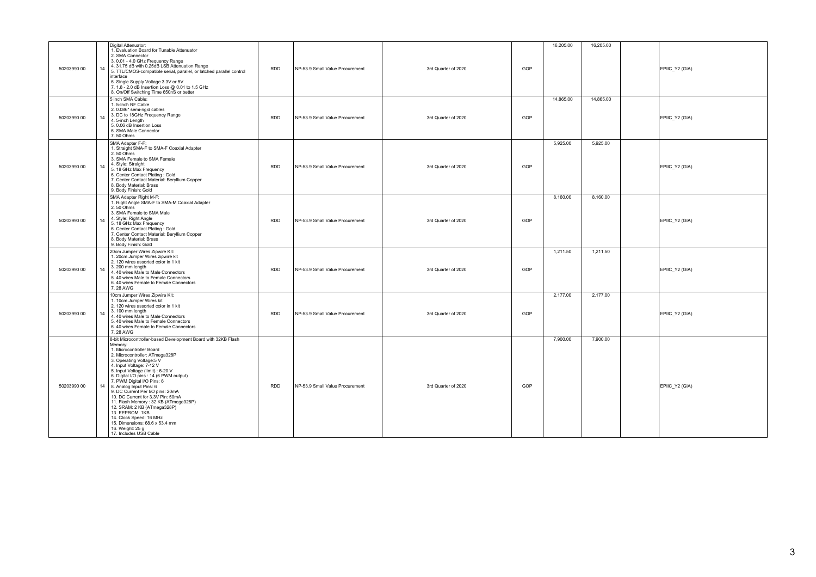| 50203990 00 | Digital Attenuator:<br>1. Evaluation Board for Tunable Attenuator<br>2. SMA Connector<br>3. 0.01 - 4.0 GHz Frequency Range<br>4. 31.75 dB with 0.25dB LSB Attenuation Range<br>14<br>5. TTL/CMOS-compatible serial, parallel, or latched parallel control<br>interface<br>6. Single Supply Voltage 3.3V or 5V<br>7. 1.8 - 2.0 dB Insertion Loss @ 0.01 to 1.5 GHz<br>8. On/Off Switching Time 650nS or better                                                                                                                                                                                                               | <b>RDD</b> | NP-53.9 Small Value Procurement | 3rd Quarter of 2020 | GOP | 16,205.00 | 16,205.00 | EPIIC_Y2 (GIA) |
|-------------|-----------------------------------------------------------------------------------------------------------------------------------------------------------------------------------------------------------------------------------------------------------------------------------------------------------------------------------------------------------------------------------------------------------------------------------------------------------------------------------------------------------------------------------------------------------------------------------------------------------------------------|------------|---------------------------------|---------------------|-----|-----------|-----------|----------------|
| 50203990 00 | 5 inch SMA Cable:<br>1. 5-Inch RF Cable<br>2.0.086" semi-rigid cables<br>3. DC to 18GHz Frequency Range<br>14<br>4.5-inch Length<br>5.0.06 dB Insertion Loss<br>6. SMA Male Connector<br>7.50 Ohms                                                                                                                                                                                                                                                                                                                                                                                                                          | <b>RDD</b> | NP-53.9 Small Value Procurement | 3rd Quarter of 2020 | GOP | 14,865.00 | 14,865.00 | EPIIC_Y2 (GIA) |
| 50203990 00 | SMA Adapter F-F:<br>1. Straight SMA-F to SMA-F Coaxial Adapter<br>2.50 Ohms<br>3. SMA Female to SMA Female<br>4. Style: Straight<br>14<br>5. 18 GHz Max Frequency<br>6. Center Contact Plating: Gold<br>7. Center Contact Material: Beryllium Copper<br>8. Body Material: Brass<br>9. Body Finish: Gold                                                                                                                                                                                                                                                                                                                     | <b>RDD</b> | NP-53.9 Small Value Procurement | 3rd Quarter of 2020 | GOP | 5.925.00  | 5,925.00  | EPIIC_Y2 (GIA) |
| 50203990 00 | SMA Adapter Right M-F:<br>1. Right Angle SMA-F to SMA-M Coaxial Adapter<br>$2.50$ Ohms<br>3. SMA Female to SMA Male<br>4. Style: Right Angle<br>5. 18 GHz Max Frequency<br>6. Center Contact Plating: Gold<br>7. Center Contact Material: Beryllium Copper<br>8. Body Material: Brass<br>9. Body Finish: Gold                                                                                                                                                                                                                                                                                                               | <b>RDD</b> | NP-53.9 Small Value Procurement | 3rd Quarter of 2020 | GOP | 8,160.00  | 8,160.00  | EPIIC_Y2 (GIA) |
| 50203990 00 | 20cm Jumper Wires Zipwire Kit:<br>1. 20cm Jumper Wires zipwire kit<br>2. 120 wires assorted color in 1 kit<br>3. 200 mm length<br>14<br>4.40 wires Male to Male Connectors<br>5.40 wires Male to Female Connectors<br>6, 40 wires Female to Female Connectors<br>7.28 AWG                                                                                                                                                                                                                                                                                                                                                   | <b>RDD</b> | NP-53.9 Small Value Procurement | 3rd Quarter of 2020 | GOP | 1,211.50  | 1,211.50  | EPIIC_Y2 (GIA) |
| 50203990 00 | 10cm Jumper Wires Zipwire Kit:<br>1. 10cm Jumper Wires kit<br>2. 120 wires assorted color in 1 kit<br>3.100 mm length<br>14<br>4. 40 wires Male to Male Connectors<br>5.40 wires Male to Female Connectors<br>6, 40 wires Female to Female Connectors<br>7.28 AWG                                                                                                                                                                                                                                                                                                                                                           | <b>RDD</b> | NP-53.9 Small Value Procurement | 3rd Quarter of 2020 | GOP | 2,177.00  | 2,177.00  | EPIIC_Y2 (GIA) |
| 50203990 00 | 8-bit Microcontroller-based Development Board with 32KB Flash<br>Memory:<br>1. Microcontroller Board<br>2. Microcontroller: ATmega328P<br>3. Operating Voltage:5 V<br>4. Input Voltage: 7-12 V<br>5. Input Voltage (limit) : 6-20 V<br>6. Digital I/O pins : 14 (6 PWM output)<br>7. PWM Digital I/O Pins: 6<br>8. Analog Input Pins: 6<br>14<br>9. DC Current Per I/O pins: 20mA<br>10. DC Current for 3.3V Pin: 50mA<br>11. Flash Memory: 32 KB (ATmega328P)<br>12. SRAM: 2 KB (ATmega328P)<br>13. EEPROM: 1KB<br>14. Clock Speed: 16 MHz<br>15. Dimensions: 68.6 x 53.4 mm<br>16. Weight: 25 g<br>17. Includes USB Cable | <b>RDD</b> | NP-53.9 Small Value Procurement | 3rd Quarter of 2020 | GOP | 7,900.00  | 7,900.00  | EPIIC_Y2 (GIA) |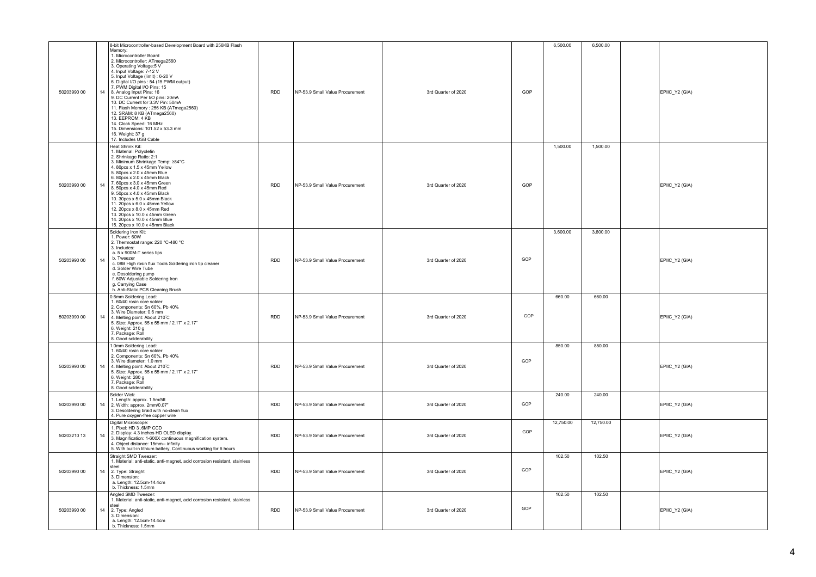| 50203990 00 | 8-bit Microcontroller-based Development Board with 256KB Flash<br>Memory:<br>1. Microcontroller Board<br>2. Microcontroller: ATmega2560<br>3. Operating Voltage:5 V<br>4. Input Voltage: 7-12 V<br>5. Input Voltage (limit) : 6-20 V<br>6. Digital I/O pins: 54 (15 PWM output)<br>7. PWM Digital I/O Pins: 15<br>14<br>8. Analog Input Pins: 16<br>9. DC Current Per I/O pins: 20mA<br>10. DC Current for 3.3V Pin: 50mA<br>11. Flash Memory: 256 KB (ATmega2560)<br>12. SRAM: 8 KB (ATmega2560)<br>13. EEPROM: 4 KB<br>14. Clock Speed: 16 MHz<br>15. Dimensions: 101.52 x 53.3 mm<br>16. Weight: 37 g<br>17. Includes USB Cable | <b>RDD</b> | NP-53.9 Small Value Procurement | 3rd Quarter of 2020 | GOP | 6,500.00  | 6,500.00  | EPIIC_Y2 (GIA) |
|-------------|------------------------------------------------------------------------------------------------------------------------------------------------------------------------------------------------------------------------------------------------------------------------------------------------------------------------------------------------------------------------------------------------------------------------------------------------------------------------------------------------------------------------------------------------------------------------------------------------------------------------------------|------------|---------------------------------|---------------------|-----|-----------|-----------|----------------|
| 50203990 00 | Heat Shrink Kit:<br>1. Material: Polyolefin<br>2. Shrinkage Ratio: 2:1<br>3. Minimum Shrinkage Temp: ≥84°C<br>4. 80pcs x 1.5 x 45mm Yellow<br>5. 80pcs x 2.0 x 45mm Blue<br>6. 80pcs x 2.0 x 45mm Black<br>7. 60pcs x 3.0 x 45mm Green<br>14<br>8. 50pcs x 4.0 x 45mm Red<br>9. 50pcs x 4.0 x 45mm Black<br>10. 30pcs x 5.0 x 45mm Black<br>11. 20pcs x 6.0 x 45mm Yellow<br>12. 20pcs x 8.0 x 45mm Red<br>13. 20pcs x 10.0 x 45mm Green<br>14. 20pcs x 10.0 x 45mm Blue<br>15. 20pcs x 10.0 x 45mm Black                                                                                                                          | RDD        | NP-53.9 Small Value Procurement | 3rd Quarter of 2020 | GOP | 1,500.00  | 1,500.00  | EPIIC_Y2 (GIA) |
| 50203990 00 | Soldering Iron Kit:<br>1. Power: 60W<br>2. Thermostat range: 220 °C-480 °C<br>3. Includes:<br>a. 5 x 900M-T series tips<br>b. Tweezer<br>14<br>c. 08B High rosin flux Tools Soldering iron tip cleaner<br>d. Solder Wire Tube<br>e. Desoldering pump<br>f. 60W Adjustable Soldering Iron<br>g. Carrying Case<br>h. Anti-Static PCB Cleaning Brush                                                                                                                                                                                                                                                                                  | <b>RDD</b> | NP-53.9 Small Value Procurement | 3rd Quarter of 2020 | GOP | 3,600.00  | 3,600.00  | EPIIC_Y2 (GIA) |
| 50203990 00 | 0.6mm Soldering Lead:<br>1. 60/40 rosin core solder<br>2. Components: Sn 60%, Pb 40%<br>3. Wire Diameter: 0.6 mm<br>14<br>4. Melting point: About 210°C<br>5. Size: Approx. 55 x 55 mm / 2.17" x 2.17"<br>6. Weight: 210 g<br>7. Package: Roll<br>8. Good solderability                                                                                                                                                                                                                                                                                                                                                            | <b>RDD</b> | NP-53.9 Small Value Procurement | 3rd Quarter of 2020 | GOP | 660.00    | 660.00    | EPIIC_Y2 (GIA) |
| 50203990 00 | 1.0mm Soldering Lead:<br>1. 60/40 rosin core solder<br>2. Components: Sn 60%, Pb 40%<br>3. Wire diameter: 1.0 mm<br>14<br>4. Melting point: About 210°C<br>5. Size: Approx. 55 x 55 mm / 2.17" x 2.17"<br>6. Weight: 280 g<br>7. Package: Roll<br>8. Good solderability                                                                                                                                                                                                                                                                                                                                                            | <b>RDD</b> | NP-53.9 Small Value Procurement | 3rd Quarter of 2020 | GOP | 850.00    | 850.00    | EPIIC_Y2 (GIA) |
| 50203990 00 | Solder Wick:<br>1. Length: approx. 1.5m/5ft<br>14<br>2. Width: approx. 2mm/0.07"<br>3. Desoldering braid with no-clean flux<br>4. Pure oxygen-free copper wire                                                                                                                                                                                                                                                                                                                                                                                                                                                                     | <b>RDD</b> | NP-53.9 Small Value Procurement | 3rd Quarter of 2020 | GOP | 240.00    | 240.00    | EPIIC_Y2 (GIA) |
| 50203210 13 | Digital Microscope:<br>1. Pixel: HD 3 .6MP CCD<br>2. Display: 4.3 inches HD OLED display.<br>14<br>3. Magnification: 1-600X continuous magnification system.<br>4. Object distance: 15mm -- infinity<br>5. With built-in lithium battery, Continuous working for 6 hours                                                                                                                                                                                                                                                                                                                                                           | <b>RDD</b> | NP-53.9 Small Value Procurement | 3rd Quarter of 2020 | GOP | 12,750.00 | 12,750.00 | EPIIC_Y2 (GIA) |
| 50203990 00 | Straight SMD Tweezer:<br>1. Material: anti-static, anti-magnet, acid corrosion resistant, stainless<br>steel<br>14<br>2. Type: Straight<br>3. Dimension:<br>a. Length: 12.5cm-14.4cm<br>b. Thickness: 1.5mm                                                                                                                                                                                                                                                                                                                                                                                                                        | <b>RDD</b> | NP-53.9 Small Value Procurement | 3rd Quarter of 2020 | GOP | 102.50    | 102.50    | EPIIC_Y2 (GIA) |
| 50203990 00 | Angled SMD Tweezer:<br>1. Material: anti-static, anti-magnet, acid corrosion resistant, stainless<br>steel<br>14<br>2. Type: Angled<br>3. Dimension:<br>a. Length: 12.5cm-14.4cm<br>b. Thickness: 1.5mm                                                                                                                                                                                                                                                                                                                                                                                                                            | <b>RDD</b> | NP-53.9 Small Value Procurement | 3rd Quarter of 2020 | GOP | 102.50    | 102.50    | EPIIC_Y2 (GIA) |